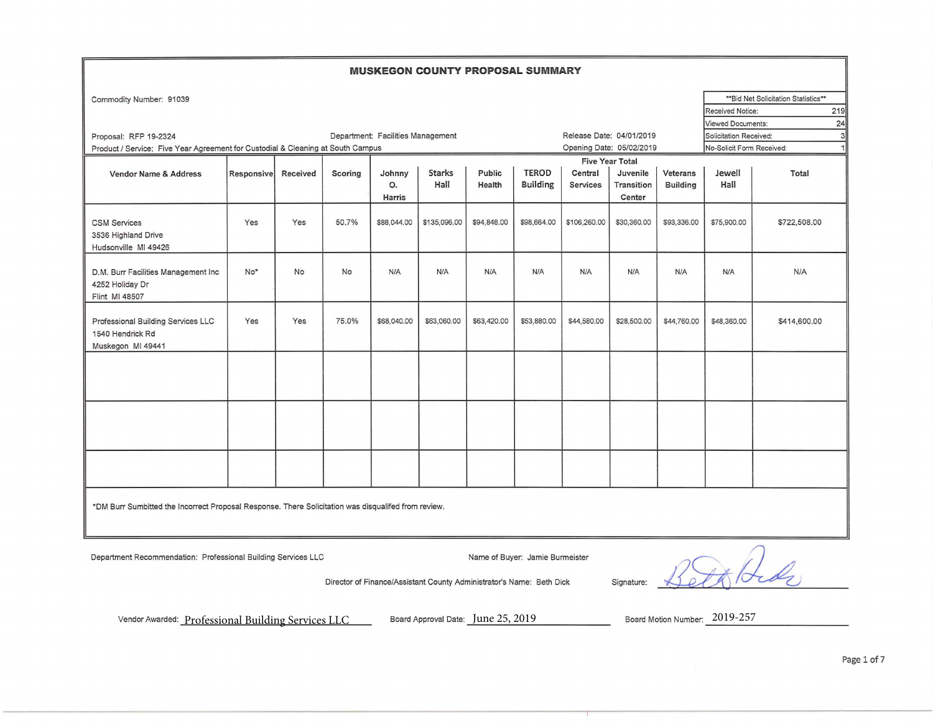## **MUSKEGON COUNTY PROPOSAL SUMMARY**

| Commodity Number: 91039                                                                                     |                                                                                                     |          |           |                                   |               |             |                 |                          |                        |                           |                                | ** Bid Net Solicitation Statistics** |
|-------------------------------------------------------------------------------------------------------------|-----------------------------------------------------------------------------------------------------|----------|-----------|-----------------------------------|---------------|-------------|-----------------|--------------------------|------------------------|---------------------------|--------------------------------|--------------------------------------|
|                                                                                                             |                                                                                                     |          |           |                                   |               |             |                 |                          |                        |                           | <b>Received Notice:</b>        | 219                                  |
|                                                                                                             |                                                                                                     |          |           |                                   |               |             |                 |                          |                        |                           | <b>Viewed Documents:</b><br>24 |                                      |
| Proposal: RFP 19-2324                                                                                       |                                                                                                     |          |           | Department: Facilities Management |               |             |                 | Release Date: 04/01/2019 |                        |                           | Solicitation Received:         | $\overline{3}$                       |
| Opening Date: 05/02/2019<br>Product / Service: Five Year Agreement for Custodial & Cleaning at South Campus |                                                                                                     |          |           |                                   |               |             |                 |                          |                        | No-Solicit Form Received: | 1                              |                                      |
|                                                                                                             |                                                                                                     |          |           |                                   |               |             |                 |                          | <b>Five Year Total</b> |                           |                                |                                      |
| <b>Vendor Name &amp; Address</b>                                                                            | <b>Responsive</b>                                                                                   | Received | Scoring   | Johnny                            | <b>Starks</b> | Public      | <b>TEROD</b>    | Central                  | Juvenile               | Veterans                  | Jewell                         | Total                                |
|                                                                                                             |                                                                                                     |          |           | O.                                | Hall          | Health      | <b>Building</b> | <b>Services</b>          | Transition             | <b>Building</b>           | Hall                           |                                      |
|                                                                                                             |                                                                                                     |          |           | Harris                            |               |             |                 |                          | Center                 |                           |                                |                                      |
| <b>CSM Services</b><br>3536 Highland Drive<br>Hudsonville MI 49426                                          | Yes                                                                                                 | Yes      | 50.7%     | \$88,044.00                       | \$135,096.00  | \$94,848.00 | \$98,664.00     | \$106,260.00             | \$30,360.00            | \$93,336.00               | \$75,900.00                    | \$722,508.00                         |
|                                                                                                             |                                                                                                     |          |           |                                   |               |             |                 |                          |                        |                           |                                |                                      |
| D.M. Burr Facilities Management Inc<br>4252 Holiday Dr<br>Flint MI 48507                                    | No*                                                                                                 | No       | <b>No</b> | N/A                               | N/A           | N/A         | N/A             | N/A                      | N/A                    | N/A                       | N/A                            | N/A                                  |
| Professional Building Services LLC<br>1540 Hendrick Rd<br>Muskegon MI 49441                                 | Yes                                                                                                 | Yes      | 75.0%     | \$68,040.00                       | \$63,060.00   | \$63,420.00 | \$53,880.00     | \$44,580.00              | \$28,500.00            | \$44,760.00               | \$48,360.00                    | \$414,600.00                         |
|                                                                                                             |                                                                                                     |          |           |                                   |               |             |                 |                          |                        |                           |                                |                                      |
|                                                                                                             |                                                                                                     |          |           |                                   |               |             |                 |                          |                        |                           |                                |                                      |
|                                                                                                             |                                                                                                     |          |           |                                   |               |             |                 |                          |                        |                           |                                |                                      |
|                                                                                                             | *DM Burr Sumbitted the Incorrect Proposal Response. There Solicitation was disqualifed from review. |          |           |                                   |               |             |                 |                          |                        |                           |                                |                                      |

Department Recommendation: Professional Building Services LLC Name of Buyer: Jamie Burmeister

Director of Finance/Assistant County Administrator's Name: Beth Dick Signature:

Vendor Awarded:  $\underline{\text{Professional Building Services LLC}}$ Board Approval Date:  $\underline{\text{June 25, 2019}}$ Board Motion Number:  $2019$ -257

Board Approval Date: June 25, 2019 Board Motion Number: 2019-257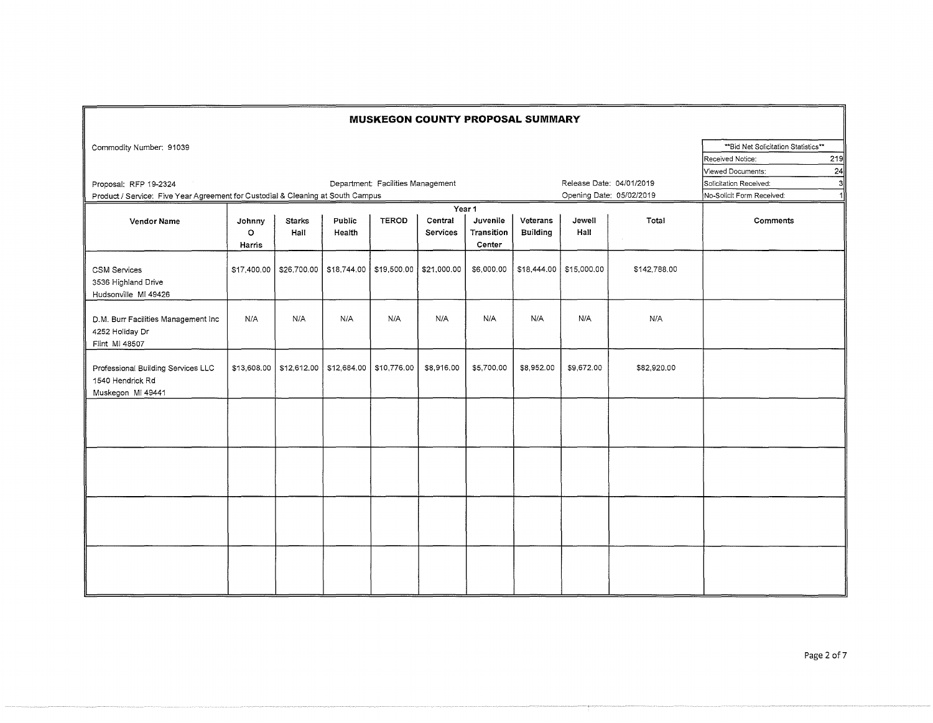|                                                                                 |                                                               |                       |                  |                                                        |                            |                                  | <b>MUSKEGON COUNTY PROPOSAL SUMMARY</b> |                           |              |                                                                                            |  |
|---------------------------------------------------------------------------------|---------------------------------------------------------------|-----------------------|------------------|--------------------------------------------------------|----------------------------|----------------------------------|-----------------------------------------|---------------------------|--------------|--------------------------------------------------------------------------------------------|--|
| Commodity Number: 91039                                                         |                                                               |                       |                  |                                                        |                            |                                  |                                         |                           |              | ** Bid Net Solicitation Statistics**<br>219<br>Received Notice:<br>Viewed Documents:<br>24 |  |
| Proposal: RFP 19-2324                                                           | Release Date: 04/01/2019<br>Department: Facilities Management |                       |                  |                                                        |                            |                                  |                                         |                           |              |                                                                                            |  |
| Product / Service: Five Year Agreement for Custodial & Cleaning at South Campus |                                                               |                       |                  |                                                        |                            |                                  |                                         | Opening Date: 05/02/2019  |              | No-Solicit Form Received:<br>1                                                             |  |
| Year 1                                                                          |                                                               |                       |                  |                                                        |                            |                                  |                                         |                           |              |                                                                                            |  |
| <b>Vendor Name</b>                                                              | Johnny<br>$\circ$<br>Harris                                   | <b>Starks</b><br>Hall | Public<br>Health | <b>TEROD</b>                                           | Central<br><b>Services</b> | Juvenile<br>Transition<br>Center | Veterans<br><b>Building</b>             | Jewell<br>Hall            | Total        | Comments                                                                                   |  |
| <b>CSM Services</b><br>3536 Highland Drive<br>Hudsonville MI 49426              | \$17,400.00                                                   |                       |                  | $$26,700.00$   \$18,744.00   \$19,500.00   \$21,000.00 |                            | \$6,000.00                       |                                         | $$18,444.00$ $$15,000.00$ | \$142,788.00 |                                                                                            |  |
| D.M. Burr Facilities Management Inc<br>4252 Holiday Dr<br>Flint MI 48507        | N/A                                                           | N/A                   | N/A              | N/A                                                    | N/A                        | N/A                              | N/A                                     | N/A                       | N/A          |                                                                                            |  |
| Professional Building Services LLC<br>1540 Hendrick Rd<br>Muskegon MI 49441     | \$13,608.00                                                   |                       |                  | \$12,612.00   \$12,684.00   \$10,776.00                | \$8,916.00                 | \$5,700.00                       | \$8,952.00                              | \$9,672.00                | \$82,920.00  |                                                                                            |  |
|                                                                                 |                                                               |                       |                  |                                                        |                            |                                  |                                         |                           |              |                                                                                            |  |
|                                                                                 |                                                               |                       |                  |                                                        |                            |                                  |                                         |                           |              |                                                                                            |  |
|                                                                                 |                                                               |                       |                  |                                                        |                            |                                  |                                         |                           |              |                                                                                            |  |
|                                                                                 |                                                               |                       |                  |                                                        |                            |                                  |                                         |                           |              |                                                                                            |  |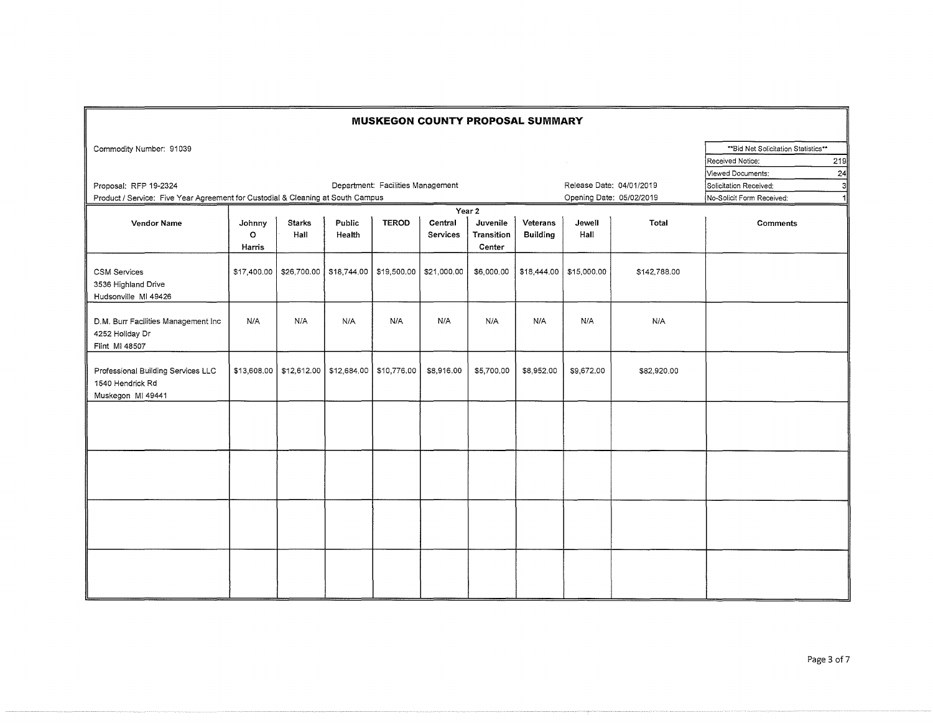|                                                                                                          |                             |                       |                                          |              | <b>MUSKEGON COUNTY PROPOSAL SUMMARY</b> |                                            |                                                                          |                           |              |                                                          |     |
|----------------------------------------------------------------------------------------------------------|-----------------------------|-----------------------|------------------------------------------|--------------|-----------------------------------------|--------------------------------------------|--------------------------------------------------------------------------|---------------------------|--------------|----------------------------------------------------------|-----|
| Commodity Number: 91039                                                                                  |                             |                       |                                          |              |                                         |                                            |                                                                          |                           |              | ** Bid Net Solicitation Statistics**<br>Received Notice: | 219 |
| Proposal: RFP 19-2324<br>Product / Service: Five Year Agreement for Custodial & Cleaning at South Campus |                             |                       | Department: Facilities Management        |              | Release Date: 04/01/2019                | Opening Date: 05/02/2019                   | Viewed Documents:<br>Solicitation Received:<br>No-Solicit Form Received: | 24<br>зІ                  |              |                                                          |     |
|                                                                                                          |                             |                       |                                          |              |                                         |                                            |                                                                          |                           |              |                                                          |     |
| <b>Vendor Name</b>                                                                                       | Johnny<br>$\circ$<br>Harris | <b>Starks</b><br>Hall | Public<br>Health                         | <b>TEROD</b> | Central<br>Services                     | Year 2<br>Juvenile<br>Transition<br>Center | Veterans<br><b>Building</b>                                              | Jewell<br>Hall            | Total        | <b>Comments</b>                                          |     |
| <b>CSM Services</b><br>3536 Highland Drive<br>Hudsonville MI 49426                                       |                             |                       | $$17,400.00$   \$26,700.00   \$18,744.00 |              | \$19,500.00 \$21,000.00                 | \$6,000.00                                 |                                                                          | $$18,444.00$ $$15,000.00$ | \$142,788.00 |                                                          |     |
| D.M. Burr Facilities Management Inc<br>4252 Holiday Dr<br>Flint MI 48507                                 | N/A                         | N/A                   | N/A                                      | N/A          | N/A                                     | N/A                                        | N/A                                                                      | N/A                       | N/A          |                                                          |     |
| Professional Building Services LLC<br>1540 Hendrick Rd<br>Muskegon MI 49441                              | \$13,608.00                 |                       | \$12,612.00   \$12,684.00   \$10,776.00  |              | \$8,916.00                              | \$5,700.00                                 | \$8,952.00                                                               | \$9,672.00                | \$82,920.00  |                                                          |     |
|                                                                                                          |                             |                       |                                          |              |                                         |                                            |                                                                          |                           |              |                                                          |     |
|                                                                                                          |                             |                       |                                          |              |                                         |                                            |                                                                          |                           |              |                                                          |     |
|                                                                                                          |                             |                       |                                          |              |                                         |                                            |                                                                          |                           |              |                                                          |     |
|                                                                                                          |                             |                       |                                          |              |                                         |                                            |                                                                          |                           |              |                                                          |     |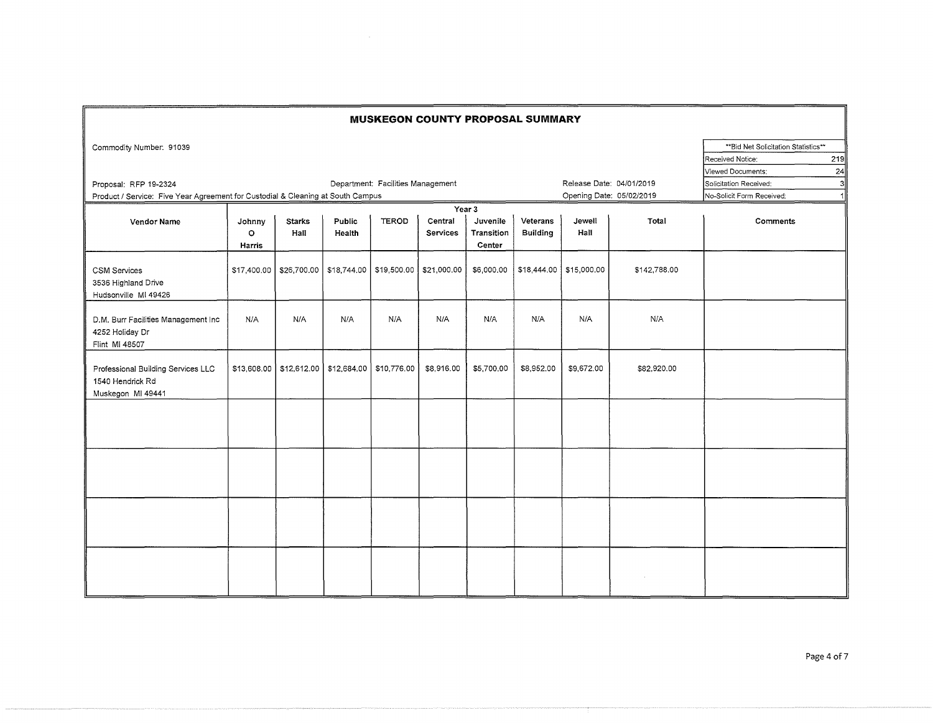|                                                                                 |                             |                                          |                  |                                   | <b>MUSKEGON COUNTY PROPOSAL SUMMARY</b> |                                  |                           |                         |                          |                                                                               |           |
|---------------------------------------------------------------------------------|-----------------------------|------------------------------------------|------------------|-----------------------------------|-----------------------------------------|----------------------------------|---------------------------|-------------------------|--------------------------|-------------------------------------------------------------------------------|-----------|
| Commodity Number: 91039                                                         |                             |                                          |                  |                                   |                                         |                                  |                           |                         |                          | ** Bid Net Solicitation Statistics**<br>Received Notice:<br>Viewed Documents: | 219<br>24 |
| Proposal: RFP 19-2324                                                           |                             |                                          |                  | Department: Facilities Management |                                         |                                  |                           |                         | Release Date: 04/01/2019 | Solicitation Received:                                                        | -31       |
| Product / Service: Five Year Agreement for Custodial & Cleaning at South Campus |                             |                                          |                  |                                   |                                         | Opening Date: 05/02/2019         | No-Solicit Form Received: |                         |                          |                                                                               |           |
| Year 3                                                                          |                             |                                          |                  |                                   |                                         |                                  |                           |                         |                          |                                                                               |           |
| <b>Vendor Name</b>                                                              | Johnny<br>$\circ$<br>Harris | <b>Starks</b><br>Hall                    | Public<br>Health | <b>TEROD</b>                      | Central<br>Services                     | Juvenile<br>Transition<br>Center | Veterans<br>Building      | Jewell<br>Hall          | Total                    | <b>Comments</b>                                                               |           |
| <b>CSM Services</b><br>3536 Highland Drive<br>Hudsonville MI 49426              |                             | $$17,400.00$   \$26,700.00   \$18,744.00 |                  |                                   | \$19,500.00 \$21,000.00                 | \$6,000.00                       |                           | \$18,444.00 \$15,000.00 | \$142,788.00             |                                                                               |           |
| D.M. Burr Facilities Management Inc<br>4252 Holiday Dr<br>Flint MI 48507        | N/A                         | N/A                                      | N/A              | N/A                               | N/A                                     | N/A                              | N/A                       | N/A                     | N/A                      |                                                                               |           |
| Professional Building Services LLC<br>1540 Hendrick Rd<br>Muskegon MI 49441     | \$13,608.00                 | \$12,612.00                              |                  | \$12,684.00 \$10,776.00           | \$8,916.00                              | \$5,700.00                       | \$8,952.00                | \$9,672.00              | \$82,920.00              |                                                                               |           |
|                                                                                 |                             |                                          |                  |                                   |                                         |                                  |                           |                         |                          |                                                                               |           |
|                                                                                 |                             |                                          |                  |                                   |                                         |                                  |                           |                         |                          |                                                                               |           |
|                                                                                 |                             |                                          |                  |                                   |                                         |                                  |                           |                         |                          |                                                                               |           |
|                                                                                 |                             |                                          |                  |                                   |                                         |                                  |                           |                         |                          |                                                                               |           |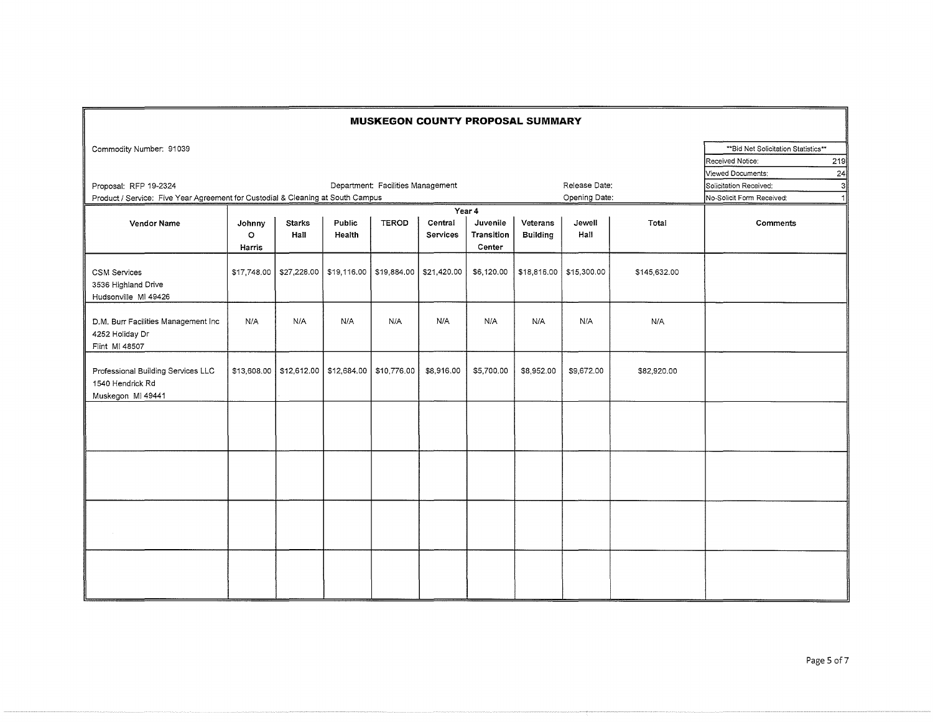|                                                                                 |                             |                       |                                     |                                   | <b>MUSKEGON COUNTY PROPOSAL SUMMARY</b> |                                  |                             |                         |              |                                                                                            |
|---------------------------------------------------------------------------------|-----------------------------|-----------------------|-------------------------------------|-----------------------------------|-----------------------------------------|----------------------------------|-----------------------------|-------------------------|--------------|--------------------------------------------------------------------------------------------|
| Commodity Number: 91039                                                         |                             |                       |                                     |                                   |                                         |                                  |                             |                         |              | ** Bid Net Solicitation Statistics**<br>219<br>Received Notice:<br>Viewed Documents:<br>24 |
| Proposal: RFP 19-2324                                                           |                             |                       |                                     | Department: Facilities Management |                                         |                                  |                             | Release Date:           |              | Solicitation Received:<br>31                                                               |
| Product / Service: Five Year Agreement for Custodial & Cleaning at South Campus |                             |                       |                                     |                                   |                                         |                                  |                             | Opening Date:           |              | No-Solicit Form Received:                                                                  |
|                                                                                 |                             |                       |                                     |                                   |                                         |                                  |                             |                         |              |                                                                                            |
| <b>Vendor Name</b>                                                              | Johnny<br>$\circ$<br>Harris | <b>Starks</b><br>Hall | Public<br>Health                    | <b>TEROD</b>                      | Central<br><b>Services</b>              | Juvenile<br>Transition<br>Center | Veterans<br><b>Building</b> | Jewell<br>Hall          | Total        | Comments                                                                                   |
| <b>CSM Services</b><br>3536 Highland Drive<br>Hudsonville MI 49426              | \$17,748.00                 |                       | \$27,228.00 \$19,116.00             | \$19,884.00                       | \$21,420.00                             | \$6,120.00                       |                             | \$18,816.00 \$15,300.00 | \$145,632.00 |                                                                                            |
| D.M. Burr Facilities Management Inc<br>4252 Holiday Dr<br>Flint MI 48507        | N/A                         | N/A                   | N/A                                 | N/A                               | N/A                                     | N/A                              | N/A                         | N/A                     | N/A          |                                                                                            |
| Professional Building Services LLC<br>1540 Hendrick Rd<br>Muskegon MI 49441     |                             |                       | \$13,608.00 \$12,612.00 \$12,684.00 | \$10,776.00                       | \$8,916.00                              | \$5,700.00                       | \$8,952.00                  | \$9,672.00              | \$82,920.00  |                                                                                            |
|                                                                                 |                             |                       |                                     |                                   |                                         |                                  |                             |                         |              |                                                                                            |
|                                                                                 |                             |                       |                                     |                                   |                                         |                                  |                             |                         |              |                                                                                            |
|                                                                                 |                             |                       |                                     |                                   |                                         |                                  |                             |                         |              |                                                                                            |
|                                                                                 |                             |                       |                                     |                                   |                                         |                                  |                             |                         |              |                                                                                            |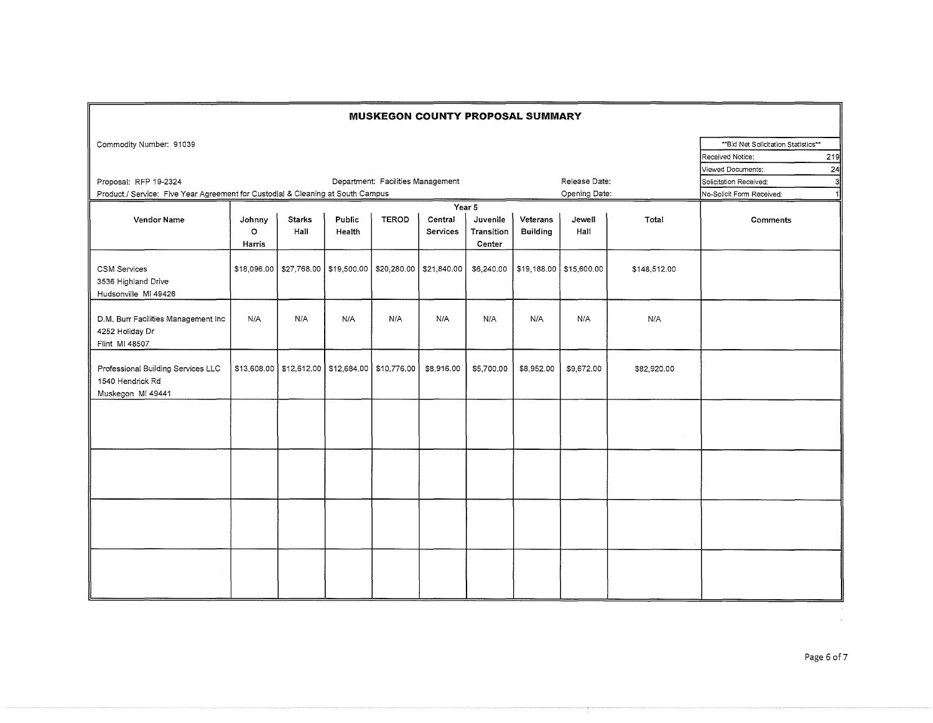| <b>MUSKEGON COUNTY PROPOSAL SUMMARY</b>                                         |                             |                        |                                                       |                                   |                                                                     |                                  |                             |                         |              |                                                                               |           |
|---------------------------------------------------------------------------------|-----------------------------|------------------------|-------------------------------------------------------|-----------------------------------|---------------------------------------------------------------------|----------------------------------|-----------------------------|-------------------------|--------------|-------------------------------------------------------------------------------|-----------|
| Commodity Number: 91039                                                         |                             |                        |                                                       |                                   |                                                                     |                                  |                             |                         |              | ** Bid Net Solicitation Statistics**<br>Received Notice:<br>Viewed Documents: | 219<br>24 |
| Proposal: RFP 19-2324                                                           | Release Date:               | Solicitation Received: | 3l                                                    |                                   |                                                                     |                                  |                             |                         |              |                                                                               |           |
| Product / Service: Five Year Agreement for Custodial & Cleaning at South Campus |                             |                        |                                                       | Department: Facilities Management |                                                                     |                                  |                             | Opening Date:           |              | No-Solicit Form Received:                                                     | 11        |
|                                                                                 |                             |                        |                                                       |                                   |                                                                     |                                  |                             |                         |              |                                                                               |           |
| <b>Vendor Name</b>                                                              | Johnny<br>$\circ$<br>Harris | <b>Starks</b><br>Hall  | Public<br>Health                                      | <b>TEROD</b>                      | Central<br>Services                                                 | Juvenile<br>Transition<br>Center | Veterans<br><b>Building</b> | Jewell<br>Hall          | Total        | <b>Comments</b>                                                               |           |
| <b>CSM Services</b><br>3536 Highland Drive<br>Hudsonville MI 49426              |                             |                        |                                                       |                                   | \$18,096.00   \$27,768.00   \$19,500.00   \$20,280.00   \$21,840.00 | \$6,240.00                       |                             | \$19,188.00 \$15,600.00 | \$148,512.00 |                                                                               |           |
| D.M. Burr Facilities Management Inc<br>4252 Holiday Dr<br>Flint MI 48507        | N/A                         | N/A                    | N/A                                                   | N/A                               | N/A                                                                 | N/A                              | N/A                         | N/A                     | N/A          |                                                                               |           |
| Professional Building Services LLC<br>1540 Hendrick Rd<br>Muskegon MI 49441     |                             |                        | \$13,608.00   \$12,612.00   \$12,684.00   \$10,776.00 |                                   | \$8,916.00                                                          | \$5,700.00                       | \$8,952.00                  | \$9,672.00              | \$82,920.00  |                                                                               |           |
|                                                                                 |                             |                        |                                                       |                                   |                                                                     |                                  |                             |                         |              |                                                                               |           |
|                                                                                 |                             |                        |                                                       |                                   |                                                                     |                                  |                             |                         |              |                                                                               |           |
|                                                                                 |                             |                        |                                                       |                                   |                                                                     |                                  |                             |                         |              |                                                                               |           |
|                                                                                 |                             |                        |                                                       |                                   |                                                                     |                                  |                             |                         |              |                                                                               |           |

 $\sim$